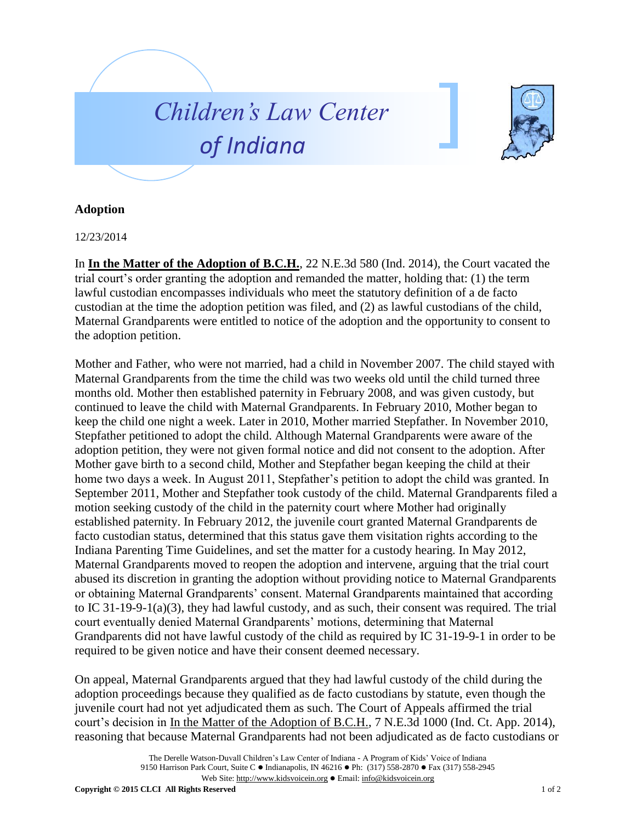



## **Adoption**

12/23/2014

In **In the Matter of the Adoption of B.C.H.**, 22 N.E.3d 580 (Ind. 2014), the Court vacated the trial court's order granting the adoption and remanded the matter, holding that: (1) the term lawful custodian encompasses individuals who meet the statutory definition of a de facto custodian at the time the adoption petition was filed, and (2) as lawful custodians of the child, Maternal Grandparents were entitled to notice of the adoption and the opportunity to consent to the adoption petition.

Mother and Father, who were not married, had a child in November 2007. The child stayed with Maternal Grandparents from the time the child was two weeks old until the child turned three months old. Mother then established paternity in February 2008, and was given custody, but continued to leave the child with Maternal Grandparents. In February 2010, Mother began to keep the child one night a week. Later in 2010, Mother married Stepfather. In November 2010, Stepfather petitioned to adopt the child. Although Maternal Grandparents were aware of the adoption petition, they were not given formal notice and did not consent to the adoption. After Mother gave birth to a second child, Mother and Stepfather began keeping the child at their home two days a week. In August 2011, Stepfather's petition to adopt the child was granted. In September 2011, Mother and Stepfather took custody of the child. Maternal Grandparents filed a motion seeking custody of the child in the paternity court where Mother had originally established paternity. In February 2012, the juvenile court granted Maternal Grandparents de facto custodian status, determined that this status gave them visitation rights according to the Indiana Parenting Time Guidelines, and set the matter for a custody hearing. In May 2012, Maternal Grandparents moved to reopen the adoption and intervene, arguing that the trial court abused its discretion in granting the adoption without providing notice to Maternal Grandparents or obtaining Maternal Grandparents' consent. Maternal Grandparents maintained that according to IC 31-19-9-1(a)(3), they had lawful custody, and as such, their consent was required. The trial court eventually denied Maternal Grandparents' motions, determining that Maternal Grandparents did not have lawful custody of the child as required by IC 31-19-9-1 in order to be required to be given notice and have their consent deemed necessary.

On appeal, Maternal Grandparents argued that they had lawful custody of the child during the adoption proceedings because they qualified as de facto custodians by statute, even though the juvenile court had not yet adjudicated them as such. The Court of Appeals affirmed the trial court's decision in In the Matter of the Adoption of B.C.H., 7 N.E.3d 1000 (Ind. Ct. App. 2014), reasoning that because Maternal Grandparents had not been adjudicated as de facto custodians or